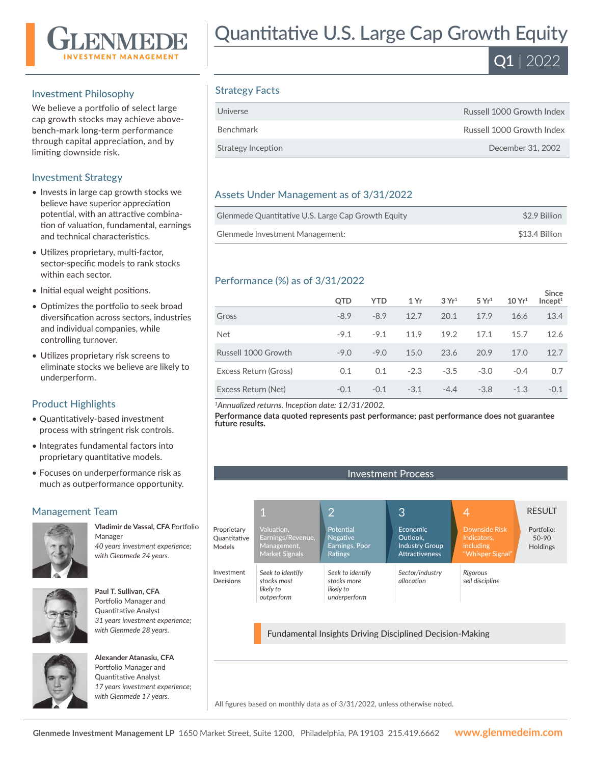

#### Investment Philosophy

We believe a portfolio of select large cap growth stocks may achieve abovebench-mark long-term performance through capital appreciation, and by limiting downside risk.

#### Investment Strategy

- Invests in large cap growth stocks we believe have superior appreciation potential, with an attractive combination of valuation, fundamental, earnings and technical characteristics.
- Utilizes proprietary, multi-factor, sector-specific models to rank stocks within each sector.
- Initial equal weight positions.
- Optimizes the portfolio to seek broad diversification across sectors, industries and individual companies, while controlling turnover.
- Utilizes proprietary risk screens to eliminate stocks we believe are likely to underperform.

#### Product Highlights

- Quantitatively-based investment process with stringent risk controls.
- Integrates fundamental factors into proprietary quantitative models.
- Focuses on underperformance risk as much as outperformance opportunity.

#### Management Team



**Vladimir de Vassal, CFA** Portfolio Manager *40 years investment experience; with Glenmede 24 years.*



**Paul T. Sullivan, CFA**  Portfolio Manager and Quantitative Analyst *31 years investment experience; with Glenmede 28 years.*



**Alexander Atanasiu, CFA**  Portfolio Manager and Quantitative Analyst *17 years investment experience; with Glenmede 17 years.*

# Quantitative U.S. Large Cap Growth Equity



## Strategy Facts

| Universe           | Russell 1000 Growth Index |
|--------------------|---------------------------|
| <b>Benchmark</b>   | Russell 1000 Growth Index |
| Strategy Inception | December 31, 2002         |

### Assets Under Management as of 3/31/2022

| Glenmede Quantitative U.S. Large Cap Growth Equity | \$2.9 Billion  |
|----------------------------------------------------|----------------|
| Glenmede Investment Management:                    | \$13.4 Billion |

### Performance (%) as of 3/31/2022

|                       | QTD    | <b>YTD</b> | 1 Yr   | 3Yr <sup>1</sup> | 5 Yr <sup>1</sup> | 10 Yr <sup>1</sup> | <b>Since</b><br>Incept <sup>1</sup> |
|-----------------------|--------|------------|--------|------------------|-------------------|--------------------|-------------------------------------|
| Gross                 | $-8.9$ | $-8.9$     | 12.7   | 20.1             | 17.9              | 16.6               | 13.4                                |
| <b>Net</b>            | $-9.1$ | $-9.1$     | 11.9   | 19.2             | 17.1              | 15.7               | 12.6                                |
| Russell 1000 Growth   | $-9.0$ | $-9.0$     | 15.0   | 23.6             | 20.9              | 17.0               | 12.7                                |
| Excess Return (Gross) | 0.1    | 0.1        | $-2.3$ | $-3.5$           | $-3.0$            | $-0.4$             | 0.7                                 |
| Excess Return (Net)   | $-0.1$ | $-0.1$     | $-3.1$ | $-4.4$           | $-3.8$            | $-1.3$             | $-0.1$                              |

*<sup>1</sup>Annualized returns. Inception date: 12/31/2002.*

**Performance data quoted represents past performance; past performance does not guarantee future results.**

Investment Process



Fundamental Insights Driving Disciplined Decision-Making

All figures based on monthly data as of 3/31/2022, unless otherwise noted.